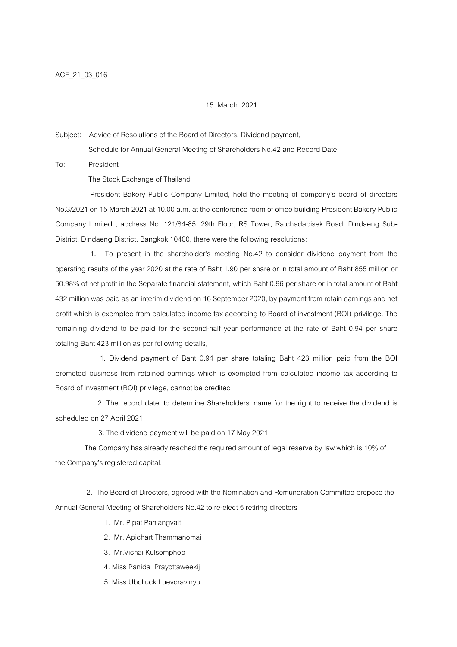## 15 March 2021

Subject: Advice of Resolutions of the Board of Directors, Dividend payment,

Schedule for Annual General Meeting of Shareholders No.42 and Record Date.

To: President

The Stock Exchange of Thailand

 President Bakery Public Company Limited, held the meeting of company's board of directors No.3/2021 on 15 March 2021 at 10.00 a.m. at the conference room of office building President Bakery Public Company Limited , address No. 121/84-85, 29th Floor, RS Tower, Ratchadapisek Road, Dindaeng Sub-District, Dindaeng District, Bangkok 10400, there were the following resolutions;

 1. To present in the shareholder's meeting No.42 to consider dividend payment from the operating results of the year 2020 at the rate of Baht 1.90 per share or in total amount of Baht 855 million or 50.98% of net profit in the Separate financial statement, which Baht 0.96 per share or in total amount of Baht 432 million was paid as an interim dividend on 16 September 2020, by payment from retain earnings and net profit which is exempted from calculated income tax according to Board of investment (BOI) privilege. The remaining dividend to be paid for the second-half year performance at the rate of Baht 0.94 per share totaling Baht 423 million as per following details,

 1. Dividend payment of Baht 0.94 per share totaling Baht 423 million paid from the BOI promoted business from retained earnings which is exempted from calculated income tax according to Board of investment (BOI) privilege, cannot be credited.

2. The record date, to determine Shareholders' name for the right to receive the dividend is scheduled on 27 April 2021.

3. The dividend payment will be paid on 17 May 2021.

 The Company has already reached the required amount of legal reserve by law which is 10% of the Company's registered capital.

 2. The Board of Directors, agreed with the Nomination and Remuneration Committee propose the Annual General Meeting of Shareholders No.42 to re-elect 5 retiring directors

- 1. Mr. Pipat Paniangvait
- 2. Mr. Apichart Thammanomai
- 3. Mr.Vichai Kulsomphob
- 4. Miss Panida Prayottaweekij
- 5. Miss Ubolluck Luevoravinyu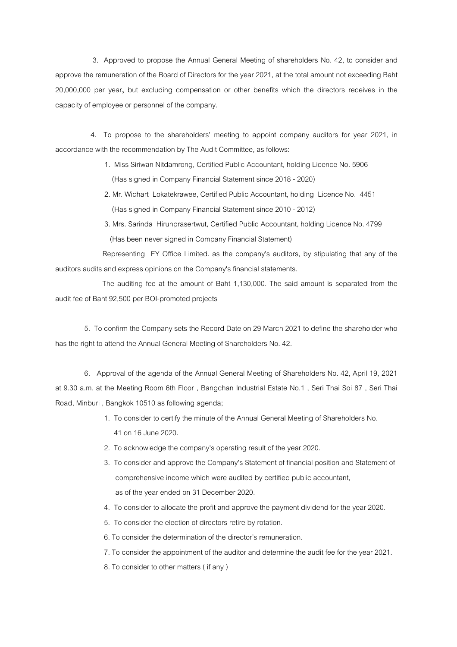3. Approved to propose the Annual General Meeting of shareholders No. 42, to consider and approve the remuneration of the Board of Directors for the year 2021, at the total amount not exceeding Baht 20,000,000 per year, but excluding compensation or other benefits which the directors receives in the capacity of employee or personnel of the company.

4. To propose to the shareholders' meeting to appoint company auditors for year 2021, in accordance with the recommendation by The Audit Committee, as follows:

- 1. Miss Siriwan Nitdamrong, Certified Public Accountant, holding Licence No. 5906 (Has signed in Company Financial Statement since 2018 - 2020)
- 2. Mr. Wichart Lokatekrawee, Certified Public Accountant, holding Licence No. 4451 (Has signed in Company Financial Statement since 2010 - 2012)
- 3. Mrs. Sarinda Hirunprasertwut, Certified Public Accountant, holding Licence No. 4799 (Has been never signed in Company Financial Statement)

Representing EY Office Limited. as the company's auditors, by stipulating that any of the auditors audits and express opinions on the Company's financial statements.

 The auditing fee at the amount of Baht 1,130,000. The said amount is separated from the audit fee of Baht 92,500 per BOI-promoted projects

 5. To confirm the Company sets the Record Date on 29 March 2021 to define the shareholder who has the right to attend the Annual General Meeting of Shareholders No. 42.

 6. Approval of the agenda of the Annual General Meeting of Shareholders No. 42, April 19, 2021 at 9.30 a.m. at the Meeting Room 6th Floor , Bangchan Industrial Estate No.1 , Seri Thai Soi 87 , Seri Thai Road, Minburi , Bangkok 10510 as following agenda;

- 1. To consider to certify the minute of the Annual General Meeting of Shareholders No. 41 on 16 June 2020.
- 2. To acknowledge the company's operating result of the year 2020.
- 3. To consider and approve the Company's Statement of financial position and Statement of comprehensive income which were audited by certified public accountant, as of the year ended on 31 December 2020.
- 4. To consider to allocate the profit and approve the payment dividend for the year 2020.
- 5. To consider the election of directors retire by rotation.
- 6. To consider the determination of the director's remuneration.
- 7. To consider the appointment of the auditor and determine the audit fee for the year 2021.
- 8. To consider to other matters ( if any )